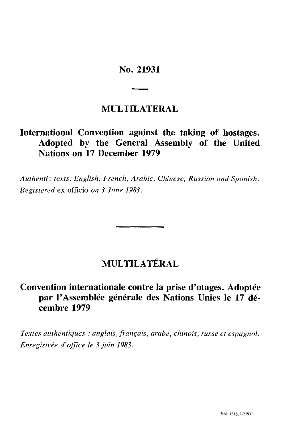# No. 21931

# **MULTILATERAL**

# **International Convention against the taking of hostages. Adopted by the General Assembly of the United Nations on 17 December 1979**

*Authentic texts: English, French, Arabic, Chinese, Russian and Spanish. Registered* ex officio *on 3 June 1983.*

# **MULTILATERAL**

# **Convention internationale contre la prise d'otages. Adoptée par l'Assemblée générale des Nations Unies le 17 dé cembre 1979**

*Textes authentiques : anglais, français, arabe, chinois, russe et espagnol. Enregistrée d'office le 3 juin 1983.*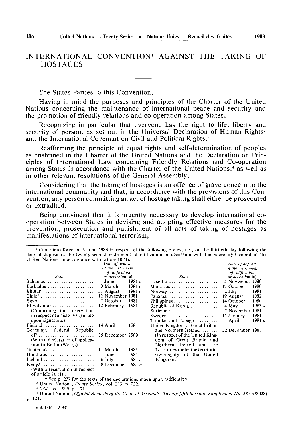### INTERNATIONAL CONVENTION<sup>1</sup> AGAINST THE TAKING OF **HOSTAGES**

The States Parties to this Convention.

Having in mind the purposes and principles of the Charter of the United Nations concerning the maintenance of international peace and security and the promotion of friendly relations and co-operation among States.

Recognizing in particular that everyone has the right to life, liberty and security of person, as set out in the Universal Declaration of Human Rights<sup>2</sup> and the International Covenant on Civil and Political Rights.<sup>3</sup>

Reaffirming the principle of equal rights and self-determination of peoples as enshrined in the Charter of the United Nations and the Declaration on Principles of International Law concerning Friendly Relations and Co-operation among States in accordance with the Charter of the United Nations,<sup>4</sup> as well as in other relevant resolutions of the General Assembly,

Considering that the taking of hostages is an offence of grave concern to the international community and that, in accordance with the provisions of this Convention, any person committing an act of hostage taking shall either be prosecuted or extradited.

Being convinced that it is urgently necessary to develop international cooperation between States in devising and adopting effective measures for the prevention, prosecution and punishment of all acts of taking of hostages as manifestations of international terrorism,

|  |  |  |  |                                                    |  | <sup>1</sup> Came into force on 3 June 1983 in respect of the following States, i.e., on the thirtieth day following the |  |  |  |  |  |
|--|--|--|--|----------------------------------------------------|--|--------------------------------------------------------------------------------------------------------------------------|--|--|--|--|--|
|  |  |  |  |                                                    |  | date of deposit of the twenty-second instrument of ratification or accession with the Secretary-General of the           |  |  |  |  |  |
|  |  |  |  | United Nations, in accordance with article 18 (1): |  |                                                                                                                          |  |  |  |  |  |

|                                                                        | Date of deposit<br>of the instrument |          |                                                                                                                         |                  |        |  |  |  |  |  |
|------------------------------------------------------------------------|--------------------------------------|----------|-------------------------------------------------------------------------------------------------------------------------|------------------|--------|--|--|--|--|--|
|                                                                        | of ratification                      |          |                                                                                                                         |                  |        |  |  |  |  |  |
| State                                                                  | or accession (a)                     |          | <b>State</b>                                                                                                            | or accession (a) |        |  |  |  |  |  |
| Bahamas                                                                | 4 June                               | 1981a    | Lesotho                                                                                                                 | 5 November 1980  |        |  |  |  |  |  |
| Barbados                                                               | 9 March                              | 1981 a   | Mauritius                                                                                                               | 17 October       | 1980   |  |  |  |  |  |
|                                                                        | 31 August                            | 1981 a   | Norway                                                                                                                  | $2$ July         | 1981   |  |  |  |  |  |
| $Chile^* \dots \dots \dots \dots \dots \dots \dots \dots$              | 12 November 1981                     |          | Panama                                                                                                                  | 19 August        | 1982   |  |  |  |  |  |
| Egypt $\ldots \ldots \ldots \ldots \ldots \ldots \ldots$               | 2 October                            | 1981     |                                                                                                                         | 14 October       | 1980   |  |  |  |  |  |
| El Salvador                                                            | 12 February                          | 1981     | Republic of Korea                                                                                                       | 4 May            | 1983 u |  |  |  |  |  |
| (Confirming the reservation                                            |                                      |          | Suriname                                                                                                                | 5 November 1981  |        |  |  |  |  |  |
| in respect of article 16(1) made                                       |                                      |          | Sweden $\ldots \ldots \ldots \ldots \ldots \ldots$                                                                      | 15 January       | 1981   |  |  |  |  |  |
| upon signature.)                                                       |                                      |          | $Triindad$ and $Tobago$                                                                                                 | I April          | 1981 a |  |  |  |  |  |
|                                                                        | 14 April                             | 1983     | United Kingdom of Great Britain                                                                                         |                  |        |  |  |  |  |  |
| Germany, Federal Republic                                              |                                      |          | and Northern Ireland $\dots\dots$                                                                                       | 22 December 1982 |        |  |  |  |  |  |
|                                                                        | 15 December 1980                     |          | (In respect of the United King-                                                                                         |                  |        |  |  |  |  |  |
| (With a declaration of applica-                                        |                                      |          | dom of Great Britain and                                                                                                |                  |        |  |  |  |  |  |
| tion to Berlin (West).)                                                |                                      |          | Northern Ireland<br>and the                                                                                             |                  |        |  |  |  |  |  |
|                                                                        | 11 March                             | 1983     | Territories under the territorial                                                                                       |                  |        |  |  |  |  |  |
|                                                                        | 1 June                               | 1981     | sovereignty of the United                                                                                               |                  |        |  |  |  |  |  |
| Iceland $\ldots \ldots \ldots \ldots \ldots \ldots$                    | 6 July                               | 1981 $u$ | Kingdom.)                                                                                                               |                  |        |  |  |  |  |  |
| Kenya                                                                  | 8 December 1981 $a$                  |          |                                                                                                                         |                  |        |  |  |  |  |  |
| (With a reservation in respect)                                        |                                      |          |                                                                                                                         |                  |        |  |  |  |  |  |
| of article $16(1)$ .)                                                  |                                      |          |                                                                                                                         |                  |        |  |  |  |  |  |
| * See p. 277 for the texts of the declarations made upon ratification. |                                      |          |                                                                                                                         |                  |        |  |  |  |  |  |
| <sup>2</sup> United Nations, <i>Treaty Series</i> , vol. 213, p. 222.  |                                      |          |                                                                                                                         |                  |        |  |  |  |  |  |
| <sup>3</sup> <i>Ibid.</i> , vol. 999, p. 171.                          |                                      |          |                                                                                                                         |                  |        |  |  |  |  |  |
|                                                                        |                                      |          | <sup>4</sup> United Nations, Official Records of the General Assembly, Twenty-fifth Session, Supplement No. 28 (AI8028) |                  |        |  |  |  |  |  |

the General Assembly, Twenty-fifth Session, Supplement No. 28 (A/8028) p. 121.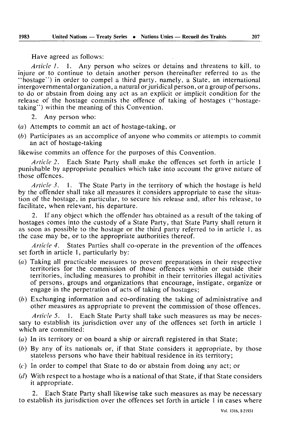Have agreed as follows:

*Article I.* 1. Any person who seizes or detains and threatens to kill, to injure or to continue to detain another person (hereinafter referred to as the "hostage") in order to compel a third party, namely, a State, an international intergovernmental organization, a natural or juridical person, or a group of persons, to do or abstain from doing any act as an explicit or implicit condition for the release of the hostage commits the offence of taking of hostages ("hostagetaking") within the meaning of this Convention.

- 2. Any person who:
- *(a)* Attempts to commit an act of hostage-taking, or
- *(b)* Participates as an accomplice of anyone who commits or attempts to commit an act of hostage-taking

likewise commits an offence for the purposes of this Convention.

*Article 2.* Each State Party shall make the offences set forth in article 1 punishable by appropriate penalties which take into account the grave nature of those offences.

*Article 3.* 1. The State Party in the territory of which the hostage is held by the offender shall take all measures it considers appropriate to ease the situa tion of the hostage, in particular, to secure his release and, after his release, to facilitate, when relevant, his departure.

If any object which the offender has obtained as a result of the taking of hostages comes into the custody of a State Party, that State Party shall return it as soon as possible to the hostage or the third party referred to in article 1, as the case may be, or to the appropriate authorities thereof.

*Article 4.* States Parties shall co-operate in the prevention of the offences set forth in article 1, particularly by:

- *(a)* Taking all practicable measures to prevent preparations in their respective territories for the commission of those offences within or outside their territories, including measures to prohibit in their territories illegal activities of persons, groups and organizations that encourage, instigate, organize or engage in the perpetration of acts of taking of hostages;
- *(b)* Exchanging information and co-ordinating the taking of administrative and other measures as appropriate to prevent the commission of those offences.

*Article 5.* 1. Each State Party shall take such measures as may be neces sary to establish its jurisdiction over any of the offences set forth in article 1 which are committed:

- $(a)$  In its territory or on board a ship or aircraft registered in that State;
- *(b)* By any of its nationals or, if that State considers it appropriate, by those stateless persons who have their habitual residence in its territory;
- (r) In order to compel that State to do or abstain from doing any act; or
- *(d)* With respect to a hostage who is a national of that State, if that State considers it appropriate.

2. Each State Party shall likewise take such measures as may be necessary to establish its jurisdiction over the offences set forth in article 1 in cases where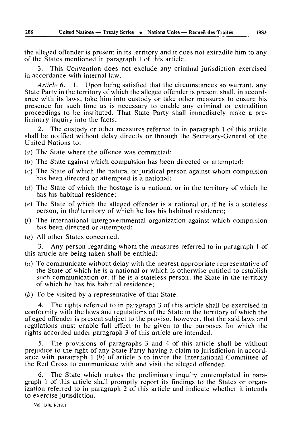the alleged offender is present in its territory and it does not extradite him to any of the States mentioned in paragraph 1 of this article.

3. This Convention does not exclude any criminal jurisdiction exercised in accordance with internal law.

*Article 6.* 1. Upon being satisfied that the circumstances so warrant, any State Party in the territory of which the alleged offender is present shall, in accord ance with its laws, take him into custody or take other measures to ensure his presence for such time as is necessary to enable any criminal or extradition proceedings to be instituted. That State Party shall immediately make a pre liminary inquiry into the facts.

2. The custody or other measures referred to in paragraph 1 of this article shall be notified without delay directly or through the Secretary-General of the United Nations to:

- *(a)* The State where the offence was committed;
- *(b)* The State against which compulsion has been directed or attempted;
- $(c)$  The State of which the natural or juridical person against whom compulsion has been directed or attempted is a national;
- $(d)$  The State of which the hostage is a national or in the territory of which he has his habitual residence;
- *(e)* The State of which the alleged offender is a national or, if he is a stateless person, in the territory of which he has his habitual residence;
- (/) The international intergovernmental organization against which compulsion has been directed or attempted;
- *(g)* All other States concerned.

3. Any person regarding whom the measures referred to in paragraph 1 of this article are being taken shall be entitled:

- *(a)* To communicate without delay with the nearest appropriate representative of the State of which he is a national or which is otherwise entitled to establish such communication or, if he is a stateless person, the Slate in the territory of which he has his habitual residence;
- *(b)* To be visited by a representative of that State.

4. The rights referred to in paragraph 3 of this article shall be exercised in conformity with the laws and regulations of the State in the territory of which the alleged offender is present subject to the proviso, however, that the said laws and regulations must enable full effect to be given to the purposes for which the rights accorded under paragraph 3 of this article are intended.

5. The provisions of paragraphs 3 and 4 of this article shall be without prejudice to the right of any State Party having a claim to jurisdiction in accord ance with paragraph 1 *(b)* of article 5 to invite the International Committee of the Red Cross to communicate with and visit the alleged offender.

6. The State which makes the preliminary inquiry contemplated in para graph 1 of this article shall promptly report its findings to the States or organ ization referred to in paragraph 2 of this article and indicate whether it intends to exercise jurisdiction.

Vol. 1316, 1-21931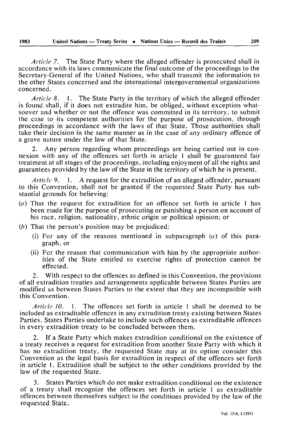*Article 7.* The State Party where the alleged offender is prosecuted shall in accordance with its laws communicate the final outcome of the proceedings to the Secretary-General of the United Nations, who shall transmit the information to the other States concerned and the international intergovernmental organizations concerned.

*Article 8.* 1. The State Party in the territory of which the alleged offender is found shall, if it does not extradite him, be obliged, without exception what soever and whether or not the offence was committed in its territory, to submit the case to its competent authorities for the purpose of prosecution, through proceedings in accordance with the laws of that State. Those authorities shall take their decision in the same manner as in the case of any ordinary offence of a grave nature under the law of that State.

2. Any person regarding whom proceedings are being carried out in con nexion with any of the offences set forth in article 1 shall be guaranteed fair treatment at all stages of the proceedings, including enjoyment of all the rights and guarantees provided by the law of the State in the territory of which he is present.

*Article 9,* 1. A request for the extradition of an alleged offender, pursuant to this Convention, shall not be granted if the requested State Party has sub stantial grounds for believing:

- *(a)* That the request for extradition for an offence set forth in article 1 has been made for the purpose of prosecuting or punishing a person on account of his race, religion, nationality, ethnic origin or political opinion; or
- *(b)* That the person's position may be prejudiced:
	- (i) For any of the reasons mentioned in subparagraph *(a)* of this para graph, or
	- (ii) For the reason that communication with him by the appropriate author ities of the State entitled to exercise rights of protection cannot be effected.

2. With respect to the offences as defined in this Convention, the provisions of all extradition treaties and arrangements applicable between States Parties are modified as between States Parties to the extent that they are incompatible with this Convention.

*Article 10.* 1. The offences set forth in article 1 shall be deemed to be included as extraditable offences in any extradition treaty existing between States Parties. States Parties undertake to include such offences as extraditable offences in every extradition treaty to be concluded between them.

2. If a State Party which makes extradition conditional on the existence of a treaty receives a request for extradition from another State Party with which it has no extradition treaty, the requested State may at its option consider this Convention as the legal basis for extradition in respect of the offences set forth in article 1. Extradition shall be subject to the other conditions provided by the law of the requested State.

3. States Parties which do not make extradition conditional on the existence of a treaty shall recognize the offences set forth in article 1 as extraditable offences between themselves subject to the conditions provided by the law of the requested State.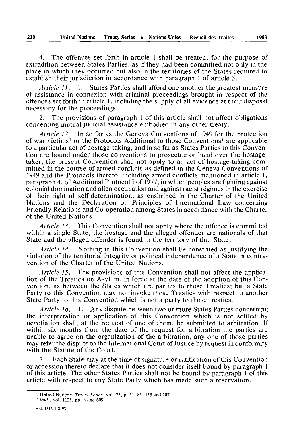4. The offences set forth in article 1 shall be treated, for the purpose of extradition between States Parties, as if they had been committed not only in the place in which they occurred but also in the territories of the States required to establish their jurisdiction in accordance with paragraph 1 of article 5.

*Article II.* 1. States Parties shall afford one another the greatest measure of assistance in connexion with criminal proceedings brought in respect of the offences set forth in article 1, including the supply of all evidence at their disposal necessary for the proceedings.

2. The provisions of paragraph 1 of this article shall not affect obligations concerning mutual judicial assistance embodied in any other treaty.

*Article 12.* In so far as the Geneva Conventions of 1949 for the protection of war victims' or the Protocols Additional to those Conventions2 are applicable to a particular act of hostage-taking, and in so far as States Parties to this Conven tion are bound under those conventions to prosecute or hand over the hostagetaker, the present Convention shall not apply to an act of hostage-taking com mitted in the course of armed conflicts as defined in the Geneva Conventions of 1949 and the Protocols thereto, including armed conflicts mentioned in article 1, paragraph 4, of Additional Protocol I of 1977, in which peoples are fighting against colonial domination and alien occupation and against racist régimes in the exercise of their right of self-determination, as enshrined in the Charter of the United Nations and the Declaration on Principles of International Law concerning Friendly Relations and Co-operation among States in accordance with the Charter of the United Nations.

*Article 13.* This Convention shall not apply where the offence is committed within a single State, the hostage and the alleged offender are nationals of that State and the alleged offender is found in the territory of that State.

*Article 14.* Nothing in this Convention shall be construed as justifying the violation of the territorial integrity or political independence of a State in contra vention of the Charter of the United Nations.

*Article 15.* The provisions of this Convention shall not affect the applica tion of the Treaties on Asylum, in force at the date of the adoption of this Con vention, as between the States which are parties to those Treaties; but a State Party to this Convention may not invoke those Treaties with respect to another State Party to this Convention which is not a party to those treaties.

*Article 16.* 1. Any dispute between two or more States Parties concerning the interpretation or application of this Convention which is not settled by negotiation shall, at the request of one of them, be submitted to arbitration. If within six months from the date of the request for arbitration the parties are unable to agree on the organization of the arbitration, any one of those parties may refer the dispute to the International Court of Justice by request in conformity with the Statute of the Court.

2. Each State may at the time of signature or ratification of this Convention or accession thereto declare that it does not consider itself bound by paragraph 1 of this article. The other States Parties shall not be bound by paragraph 1 of this article with respect to any State Party which has made such a reservation.

<sup>1</sup> United Nations, *Treaty Series,* vol. 75, p. 31, 85, 135 and 287.

*<sup>2</sup> Ibid.,* vol. 1125, pp. 3 and 609.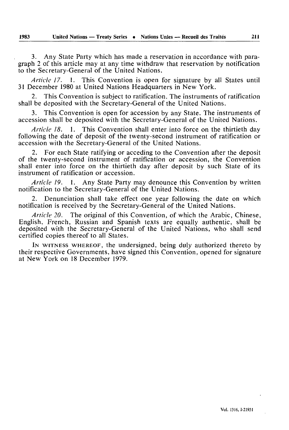3. Any State Party which has made a reservation in accordance with para graph 2 of this article may at any time withdraw that reservation by notification to the Secretary-General of the United Nations.

*Article 17.* 1. This Convention is open for signature by all States until 31 December 1980 at United Nations Headquarters in New York.

2. This Convention is subject to ratification. The instruments of ratification shall be deposited with the Secretary-General of the United Nations.

3. This Convention is open for accession by any State. The instruments of accession shall be deposited with the Secretary-General of the United Nations.

*Article 18.* 1. This Convention shall enter into force on the thirtieth day following the date of deposit of the twenty-second instrument of ratification or accession with the Secretary-General of the United Nations.

2. For each State ratifying or acceding to the Convention after the deposit of the twenty-second instrument of ratification or accession, the Convention shall enter into force on the thirtieth day after deposit by such State of its instrument of ratification or accession.

*Article 19.* 1. Any State Party may denounce this Convention by written notification to the Secretary-General of the United Nations.

2. Denunciation shall take effect one year following the date on which notification is received by the Secretary-General of the United Nations.

*Article 20.* The original of this Convention, of which the Arabic, Chinese, English, French, Russian and Spanish texts are equally authentic, shall be deposited with the Secretary-General of the United Nations, who shall send certified copies thereof to all States.

IN WITNESS WHEREOF, the undersigned, being duly authorized thereto by their respective Governments, have signed this Convention, opened for signature at New York on 18 December 1979.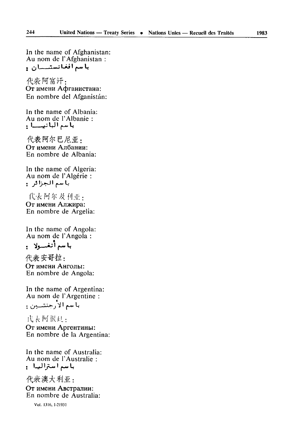代表阿富汗: От имени Афганистана: En nombre del Afganistán:

In the name of Albania: Au nom de l'Albanie : باسم البانيسيا :

代表阿尔巴尼亚: От имени Албании: En nombre de Albania:

In the name of Algeria: Au nom de l'Algérie : باسم الجزائر و

代表阿尔及利亚: От имени Алжира: En nombre de Argelia:

In the name of Angola: Au nom de l'Angola :

代表安哥拉: От имени Анголы: En nombre de Angola:

In the name of Argentina: Au nom de l'Argentine : بآسم الأرجنتسين :

代表 阿 恨廷: От имени Аргентины: En nombre de la Argentina:

In the name of Australia: Au nom de l'Australie : باسم استراليا :

代表澳大利亚: От имени Австралии: En nombre de Australia:

Vol. 1316, 1-21931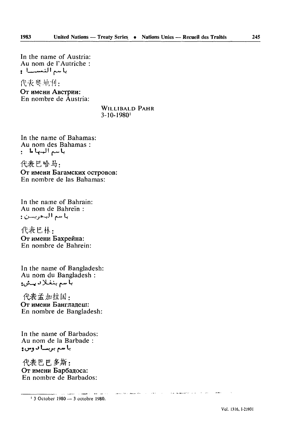In the name of Austria: Au nom de l'Autriche : باسم النمسال

代表要地利:

От имени Австрии: En nombre de Âustria:

#### **WILLIBALD PAHR**  $3 - 10 - 1980$ <sup>1</sup>

In the name of Bahamas: Au nom des Bahamas: باسم البنها ما ...

代表巴哈马: От имени Багамских островов: En nombre de las Bahamas:

In the name of Bahrain: Au nom de Bahreïn : باسم البمريسن :

代表巴林: От имени Бахрейна: En nombre de Bahrein:

In the name of Bangladesh: Au nom du Bangladesh : با سم بنغلا با پيش:

代表孟加拉国: От имени Бангладеш: En nombre de Bangladesh:

In the name of Barbados: Au nom de la Barbade : با سم بربت! د وس و

代表巴巴多斯: От имени Барбадоса: En nombre de Barbados:

<sup>1</sup> 3 October 1980 - 3 octobre 1980.

and subsequently demand on the concentration

.<br>Lighters for a collection office

**Carl County** 

 $\label{eq:1} \mathbf{A}^{\dagger}(\mathbf{x}) = \mathbf{B}^{\dagger}(\mathbf{x}) \mathbf{B}^{\dagger}(\mathbf{x})^{\dagger} \mathbf{A}^{\dagger}(\mathbf{x}) = \mathbf{A}^{\dagger}(\mathbf{x})$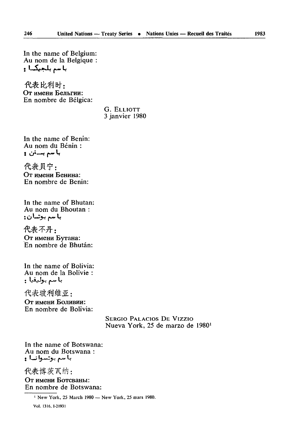In the name of Belgium: Au nom de la Belgique : باسم بلجيكا :

代表比利时, От имени Бельгии: En nombre de Bélgica:

> G. ELLIOTT 3 janvier 1980

In the name of Benin: Au nom du Bénin : با سم بـــنن و

代表贝宁: От имени Бенина: En nombre de Bénin:

In the name of Bhutan: Au nom du Bhoutan : با سم بوتسان:

代表不丹: От имени Бутана: En nombre de Bhutan:

In the name of Bolivia: Au nom de la Bolivie :

代表玻利维亚, От имени Боливии: En nombre de Bolivia:

> SERGIO PALACIOS DE Vizzio Nueva York, 25 de marzo de 19801

In the name of Botswana: Au nom du Botswana : **f \*M^ '4-MA—^-> f\*\*UV V**

代表博茨瓦纳: От имени Ботсваны: En nombre de Botswana:

1 New York, 25 March 1980 — New York, 25 mars 1980.

Vol. 1316.1-21931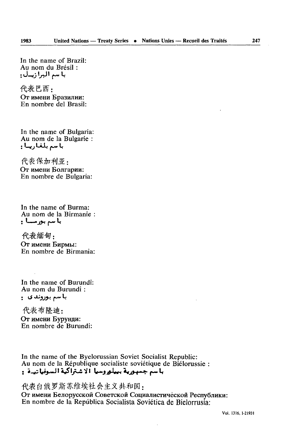In the name of Brazil: Au nom du Brésil : با سم البرازيال:

代表巴西: От имени Бразилии: En nombre del Brasil:

In the name of Bulgaria: Au nom de la Bulgarie : باسم بلغاريا!:

代表保加利亚: От имени Болгарии: En nombre de Bulgaria:

In the name of Burma: Au nom de la Birmanie : با سم بورمسا :

代表缅甸, От имени Бирмы: En nombre de Birmania:

In the name of Burundi: Au nom du Burundi : با سم بوروند ی ۔

代表布隆迪: От имени Бурунди:<br>En nombre de Burundi:

In the name of the Byelorussian Soviet Socialist Republic: Au nom de la République socialiste soviétique de Biélorussie : باسم جسورية بييلوروسيا ألاشتراكية السوفياتياة و

代表白俄罗斯苏维埃社会主义共和国:

От имени Белорусской Советской Социалистической Республики: En nombre de la República Socialista Soviética de Bielorrusia:

Vol. 1316, 1-21931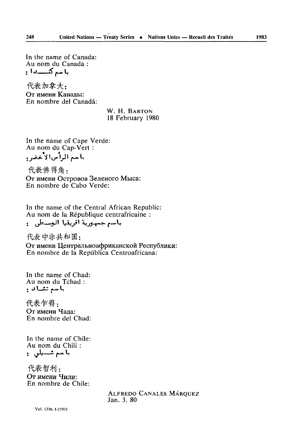In the name of Canada: Au nom du Canada : باسم كتــــدا :

代表加拿大, От имени Каналы: En nombre del Canadá:

> W. H. BARTON 18 February 1980

In the name of Cape Verde: Au nom du Cap-Vert : باسم الرأس الأخضر و

代表佛得角: От имени Островов Зеленого Мыса: En nombre de Cabo Verde:

In the name of the Central African Republic: Au nom de la République centrafricaine :

باسم جمهورية افريقيا الوسطى و

代表中非共和国: От имени Центральноафриканской Республики: En nombre de la República Centroafricana:

In the name of Chad: Au nom du Tchad: باسم تشداد و

代表乍得: От имени Чала: En nombre del Chad:

In the name of Chile: Au nom du Chili : باسم شسيلي :

代表智利: От имени Чили: En nombre de Chile:

> **ALFREDO CANALES MÁRQUEZ** Jan. 3.80

248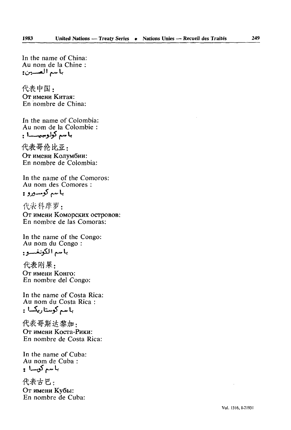In the name of China: Au nom de la Chine :

代表中国: Oт имени Китая<sup>.</sup> En nombre de China:

In the name of Colombia: Au nom de la Colombie : با سم كولومبيسسا .

代表哥伦比亚: От имени Колумбии: En nombre de Colombia:

In the name of the Comoros: Au nom des Comores :

代表科摩罗:

**OT HM6HH KOMOpCKHX OCTpOBOB:** En nombre de las Comoras:

In the name of the Congo: Au nom du Congo :

*'.s* — «jjiJl ^-.L

代表刚果: От имени Конго: En nombre del Congo:

In the name of Costa Rica: Au nom du Costa Rica : با سم كوستاريكسا :

代表哥斯达黎加, От имени Коста-Рики: En nombre de Costa Rica:

In the name of Cuba: Au nom de Cuba : با سم کویسا و

代表古巴: От имени Кубы: En nombre de Cuba: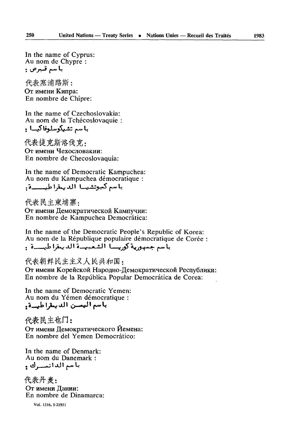代表寒浦路斯: От имени Кипра: En nombre de Chipre:

In the name of Czechoslovakia: Au nom de la Tchécoslovaquie

代表捷克斯洛伐克: От имени Чехословакии: En nombre de Checoslovaquia:

In the name of Democratic Kampuchea: Au nom du Kampuchea démocratique :

代表民主柬埔寨, От имени Демократической Кампучии: En nombre de Kampuchea Democrâtica:

In the name of the Democratic People's Republic of Korea: Au nom de la République populaire démocratique de Corée باسم جمهورية كوريسيا الشعبيسة الديمقراطيسية .

代表朝鲜民主主义人民共和国: От имени Корейской Народно-Демократической Республики: En nombre de la Repûblica Popular Democrâtica de Corea:

In the name of Democratic Yemen: Au nom du Yemen démocratique :

代表民主也门: От имени Демократического Йемена: En nombre del Yemen Democrâtico:

In the name of Denmark: Au nom du Danemark :

代表丹麦: От имени Дании: En nombre de Dinamarca:

**Vol. 1316. 1-21931**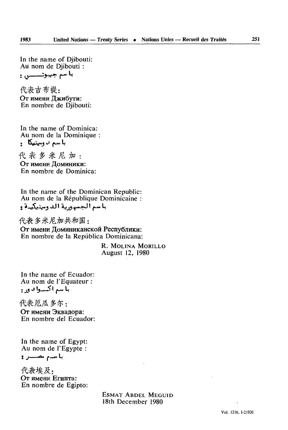In the name of Djibouti: Au nom de Djibouti :

代表吉布提: От имени Джибути: En nombre de Djibouti:

In the name of Dominica: Au nom de la Dominique

代表多米尼加: От имени Доминики: En nombre de Dominica:

In the name of the Dominican Republic: Au nom de la République Dominicaine : باسم الجسورية الدومينيكيدة و

代表多米尼加共和国: От имени Доминиканской Республики: En nombre de la Repûblica Dominicana:

> **R. MOLINA MORILLO** August 12, 1980

In the name of Ecuador: Au nom de l'Equateur : با سم اکسوا به ور :

代表厄瓜 多尔: От имени Эквадора: En nombre del Ecuador:

In the name of Egypt: Au nom de l'Egypte : باسم مصبر و

代表埃及: От имени Египта: En nombre de Egipto:

> ESMAT ABDEL MEGUID 18th December 1980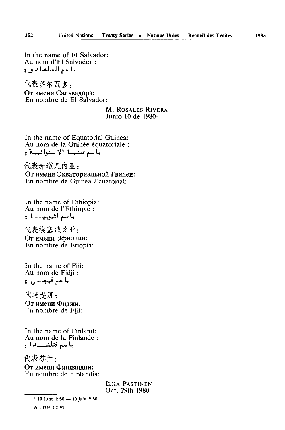In the name of El Salvador: Au nom d'El Salvador : باسم السلفادور:

代表萨尔瓦多: От имени Сальвадора: En nombre de El Salvador:

> **M. ROSALES RIVERA** Junio 10 de 1980<sup>1</sup>

In the name of Equatorial Guinea: Au nom de la Guinée équatoriale : بأسم غينيسا الاستوائيسة و

代表赤道几内亚: От имени Экваториальной Гвинеи: En nombre de Guinea Ecuatorial:

In the name of Ethiopia: Au nom de l'Ethiopie : 

代表埃塞俄比亚: От имени Эфиопии: En nombre de Etiopía:

In the name of Fiji: Au nom de Fidii: باسم فيجسس ۽

代表 斐济: От имени Филжи: En nombre de Fiii:

In the name of Finland: Au nom de la Finlande : باسم فنلنسسادا و

代表芬兰:

От имени Финляндии: En nombre de Finlandia:

> **ILKA PASTINEN** Oct. 29th 1980

<sup>&</sup>lt;sup>1</sup> 10 June 1980 - 10 juin 1980.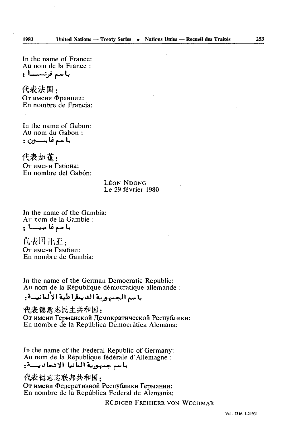In the name of France: Au nom de la France : باسم فرنسسا :

代表法国: От имени Франции: En nombre de Francia<sup>.</sup>

In the name of Gabon: Au nom du Gabon: با سم غا بــــون :

代表加蓬, От имени Габона: En nombre del Gabón:

> **LÉON NDONG** Le 29 février 1980

In the name of the Gambia: Au nom de la Gambie : با سم غا سيسسا :

代表冈 比亚: От имени Гамбии: En nombre de Gambia:

In the name of the German Democratic Republic: Au nom de la République démocratique allemande :

# باسم الجمهورية الديمقراطية الألمانيسة.

代表德意志民主共和国: От имени Германской Демократической Республики:<br>En nombre de la República Democrática Alemana:

In the name of the Federal Republic of Germany: Au nom de la République fédérale d'Allemagne : باسم جمهورية المانيا الاتحاد يسدة:

代表 德意志联邦共和国: От имени Федеративной Республики Германии: En nombre de la República Federal de Alemania:

RÜDIGER FREIHERR VON WECHMAR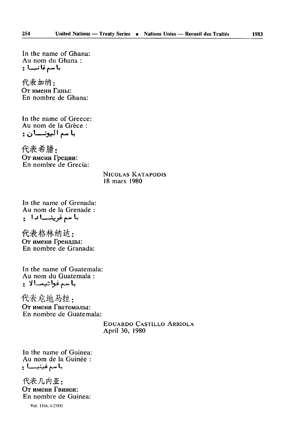In the name of Ghana: Au nom du Ghana :

代表加纳: От имени Ганы: En nombre de Ghana:

In the name of Greece: Au nom de la Grèce : با سم اليونـــان :

代表希腊: От имени Греции: En nombre de Grecia:

> NICOLAS KATAPODIS 18 mars 1980

In the name of Grenada: Au nom de la Grenade : • \* J '\_\_—*\j <s-* •>.«« L

代表格林纳达: От имени Гренады: En nombre de Granada:

In the name of Guatemala: Au nom du Guatemala : **J V I ..«,«" Iji M L(**

代表危地马拉: От имени Гватемалы: En nombre de Guatemala:

> EDUARDO CASTILLO ARRIOLA April 30, 1980

In the name of Guinea: Au nom de la Guinée :

代表几内亚: От имени Гвинеи: En nombre de Guinea:

Vol. 1316, I-2I93I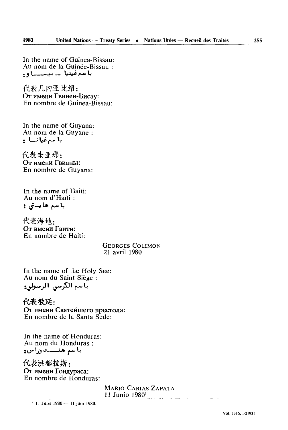In the name of Guinea-Bissau: Au nom de la Guinée-Bissau :

代表几内亚比绍: От имени Гвинеи-Бисау: En nombre de Guinea-Bissau:

In the name of Guyana: Au nom de la Guyane :

代表 圭 亚那, От имени Гвианы: En nombre de Guyana:

In the name of Haiti: Au nom d'Haïti :

代表海地. От имени Гаити: En nombre de Haitî:

> GEORGES Cou MON 21 avril 1980

In the name of the Holy See: Au nom du Saint-Siège :

代表教廷: От имени Святейшего престола: En nombre de la Santa Sede:

In the name of Honduras: Au nom du Honduras : يا سم هنسيدوراس و

代表洪都拉斯: От имени Гондураса: En nombre de Honduras:

> MARIO CARIAS ZAPATA 11 Junio 1980'

1 11 June 1980 — 11 juin 1980,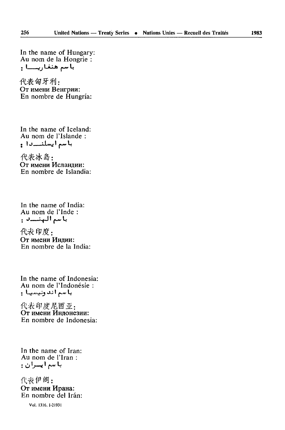In the name of Hungary: Au nom de la Hongrie : باسم هنغاریـــا :

代表匈牙利: От имени Венгрии: En nombre de Hungría:

In the name of Iceland: Au nom de l'Islande : باسم ايسلنددا و

代表冰岛: От имени Исландии: En nombre de Islandia:

In the name of India: Au nom de l'Inde : باسم الهنساني

代表印度: От имени Инлии: En nombre de la India:

In the name of Indonesia: Au nom de l'Indonésie : با سم اندونیسیا :

代表印度尼西亚: От имени Индонезии: En nombre de Indonesia:

In the name of Iran: Au nom de l'Iran : باسم ايسران:

代表伊朗: От имени Ирана: En nombre del Irán:

Vol. 1316, I-21931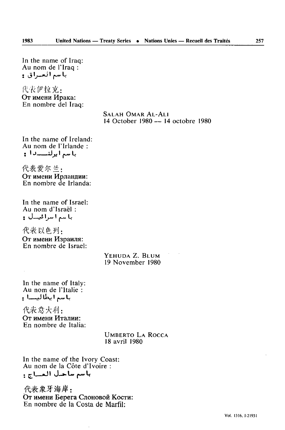In the name of Iraq: Au nom de l'Iraq : باسم العسراق و

代表伊拉克: От имени Ирака: En nombre del Iraq:

#### SALAH OMAR At-Au 14 October 1980—14 octobre 1980

In the name of Ireland: Au nom de l'Irlande : با سم ايرلن*ـــدا* :

代表爱尔兰: От имени Ирландии: En nombre de Irlanda:

In the name of Israel: Au nom d'Israël : با سے اسرائیسال :

代表以色列: Oт имени En nombre de Israël:

### YEHUDA Z. BLUM 19 November 1980

In the name of Italy: Au nom de l'Italie : *. \\_*J lLv I *(~~* <sup>L</sup>

代表意大利: От имени Италии: En nombre de Italia:

> UMBERTO LA ROCCA 18 avril 1980

In the name of the Ivory Coast: Au nom de la Côte d'Ivoire : **; rl——«Jl (J—».Lu> -u-V**

代表象牙海岸: От имени Берега Слоновой Кости: En nombre de la Costa de Marfil: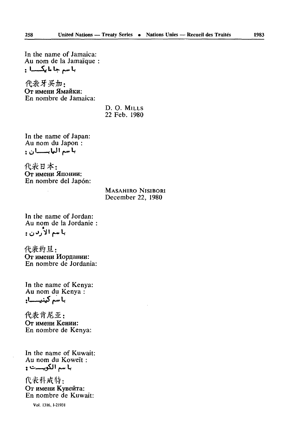In the name of Jamaica: Au nom de la Jamaïque : • L — i>^ u L»> «hAM H

代表牙买加: От имени Ямайки: En nombre de Jamaica:

> D. O. MILLS 22 Feb. 1980

In the name of Japan: Au nom du Japon :

代表日本: От имени Японии: En nombre del Japon:

#### MASAHIRO NISIBORI December 22, 1980

In the name of Jordan: Au nom de la Jordanie

代表约旦: От имени Иордании: En nombre de Jordania:

In the name of Kenya: Au nom du Kenya : با سُم کینیـــــا**؛** 

代表肯尼亚: От имени Кении: En nombre de Kenya:

In the name of Kuwait: Au nom du Koweït :

代表科威特: От имени Кувейта: En nombre de Kuwait:

**Vol, 1316, 1-21931**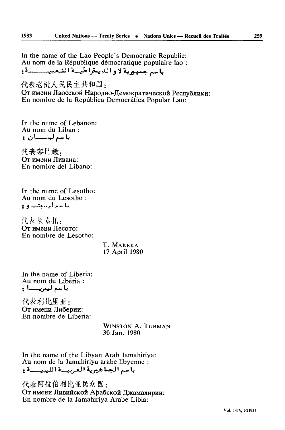In the name of the Lao People's Democratic Republic: Au nom de la République démocratique populaire lao : باسم جمهورية لاو الديعقراطيسة الشعبيسيسة:

代表老挝人民民主共和国: От имени Лаосской Народно-Демократической Республики: En nombre de la República Democrática Popular Lao:

In the name of Lebanon: Au nom du Liban: باسم لبتـــان :

代表黎巴嫩. От имени Ливана: En nombre del Líbano:

In the name of Lesotho: Au nom du Lesotho: با سم ليسوتيو ۽

代表莱索托: От имени Лесото: En nombre de Lesotho:

> T. MAKEKA 17 April 1980

In the name of Liberia: Au nom du Libéria : باسم ليبريسنا :

代表利比里亚: От имени Либерии: En nombre de Liberia:

> **WINSTON A. TURMAN** 30 Jan. 1980

In the name of the Libyan Arab Jamahiriya: Au nom de la Jamahiriya arabe libyenne : باسم الجباهيرية العربيدة الليبيسسة و

代表阿拉伯利比亚民众国: От имени Ливийской Арабской Джамахирии: En nombre de la Jamahiriya Arabe Libia: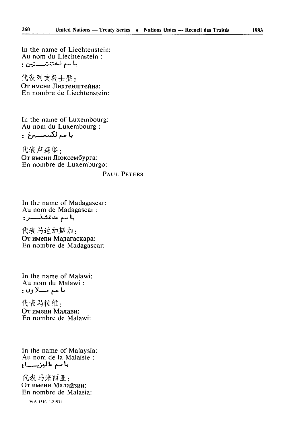In the name of Liechtenstein: Au nom du Liechtenstein : بآسم لختنشستين و

代表列支敦士登, От имени Лихтенштейна: En nombre de Liechtenstein:

In the name of Luxembourg:<br>Au nom du Luxembourg : باسم لكسمسيرغ و

代表卢森堡: От имени Люксембурга: En nombre de Luxemburgo:

#### PAUL PETERS

In the name of Madagascar: Au nom de Madagascar : باسم مدغشقسسر:

代表马达加斯加: От имени Мадагаскара: En nombre de Madagascar:

In the name of Malawi: Au nom du Malawi: با سم مسلاوں :

代表 马拉维: От имени Малави: En nombre de Malawi:

In the name of Malaysia: Au nom de la Malaisie : با سم ماليزيـــــاءِ

代表马来西亚: От имени Малайзии: En nombre de Malasia:

Vol. 1316, 1-21931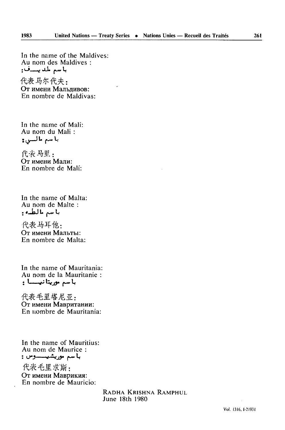代表马尔代夫: От имени Мальдивов: En nombre de Maldivas:

In the name of Mali: Au nom du Mali : با سم ما لسي و

代表马里: От имени Мали: En nombre de Mali:

In the name of Malta: Au nom de Malte : با سم مالطه :

代表马耳他, **OT HM6HH MajIbTbi:** En nombre de Malta:

In the name of Mauritania: Au nom de la Mauritanie : باسم موريتانيسسا :

代表毛里塔尼亚: От имени Мавритании: En nombre de Mauritania:

In the name of Mauritius: Au nom de Maurice : با سم موریشیسسوس :

代表毛里求斯: От имени Маврикия: En nombre de Mauricio:

> RADHA KRISHNA RAMPHUL June 18th 1980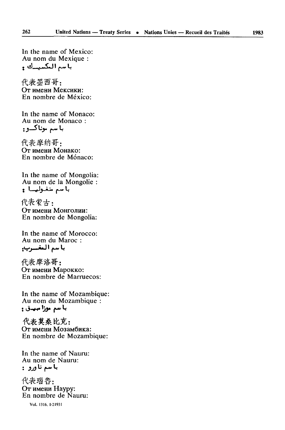In the name of Mexico: Au nom du Mexique :

代表墨西哥: От имени Мексики: En nombre de Mexico:

In the name of Monaco: Au nom de Monaco : با سم موناک**\_و .** 

代表摩纳哥: От имени Монако: En nombre de Mónaco:

In the name of Mongolia: Au nom *de* la Mongolie : باسم منغوليسا و

代表蒙古: От имени Монголии: En nombre de Mongolia:

In the name of Morocco: Au nom du Maroc : باسم التغييرب

代表摩洛哥: От имени Марокко: En nombre de Marruecos:

In the name of Mozambique: Au nom du Mozambique :

代表莫桑比克: От имени Мозамбика: En nombre de Mozambique:

In the name of Nauru: Au nom de Nauru:

代表瑙鲁: От имени Haypy: En nombre de Nauru:

Vol. 1316. I-2I93I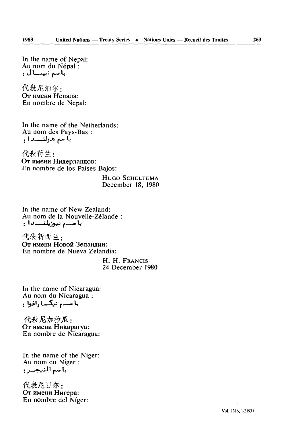In the name of Nepal: Au nom du Népal : } tj ' . *,\*iifi* Jkj» L

代表尼泊尔: От имени Непала: En nombre de Népal:

In the name of the Netherlands: Au nom des Pays-Bas : **با سہ ہولنسددا ،** 

代表荷兰: От имени Нидерландов: En nombre de los Pafses Bajos:

> **HUGO SCHELTEMA** December 18, 1980

In the name of New Zealand: Au nom de la Nouvelle-Zélande با سب نيوزيلنــــرا :

代表新西兰: **От имени Новой Зеланлии:** En nombre de Nueva Zelandia:

> H. H. FRANCIS 24 December 1980

In the name of Nicaragua: Au nom du Nicaragua : با سے نیک اراغوا :

代表尼加拉瓜: От имени Никарагуа: En nombre de Nicaragua:

In the name of the Niger: Au nom du Niger :

代表尼日尔: От имени Нигера: En nombre del Niger: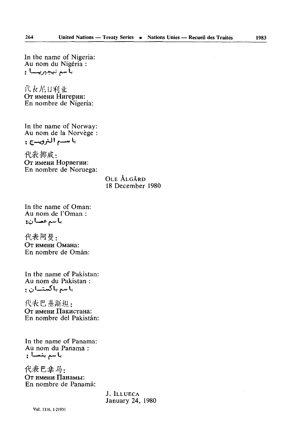In the name of Nigeria: Au nom du Nigéria : بأسم نيجيريسسا و

代表尼日利亚 От имени Нигерии: En nombre de Nigeria:

In the name of Norway: Au nom de la Norvège : باسم النرويدج :

代表 挪威: От имени Норвегии: En nombre de Noruega:

> OLE ÅLGÅRD 18 December 1980

In the name of Oman: Au nom de l'Oman : باسم عصان:

代表阿曼. От имени Омана: En nombre de Omán:

In the name of Pakistan: Au nom du Pakistan : باسم باكستــان ؛

代表巴基斯坦: От имени Пакистана: En nombre del Pakistán:

In the name of Panama: Au nom du Panama: يا سم يتمسأ و

代表巴拿马. От имени Панамы: En nombre de Panamá:

> J. ILLUECA January 24, 1980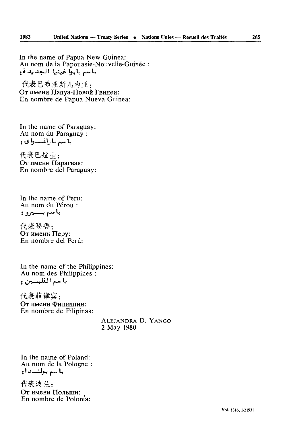In the name of Papua New Guinea: Au nom de la Papouasie-Nouvelle-Guinée : باسم بابوا غينيا الجديدة:

代表巴布亚新几内亚: От имени Папуа-Новой Гвинеи: En nombre de Papua Nueva Guinea:

In the name of Paraguay: Au nom du Paraguay : با سم باراغـــوای و

代表巴拉 丰: От имени Парагвая: En nombre del Paraguay:

In the name of Peru: Au nom du Pérou : **باسم بـــيرو :** 

代表秘鲁: От имени Перу: En nombre del Peru:

In the name of the Philippines: Au nom des Philippines :

代表菲律宾: От имени Филиппин: En nombre de Filipinas:

> ALEJANDRA D. YANGO 2 May 1980

In the name of Poland: Au nom de la Pologne با سے بولنےداو

代表波兰, **OT** HMCHH **IIOJlbUJH:** En nombre de Polonia: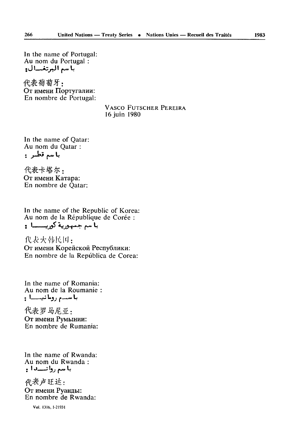In the name of Portugal: Au nom du Portugal : باسم البرتغسال:

代表葡萄牙: От имени Португалии: En nombre de Portugal:

> **VASCO FUTSCHER PEREIRA** 16 juin 1980

In the name of Qatar: Au nom du Qatar : باسم قطس:

代表卡塔尔, От имени Катара: En nombre de Qatar:

In the name of the Republic of Korea: Au nom de la République de Corée : با مہ جمہوریۃ کوریستا۔

代表大韩民国: От имени Корейской Республики: En nombre de la República de Corea:

In the name of Romania: Au nom de la Roumanie : باسم رومانيسما :

代表罗马尼亚: От имени Румынии: En nombre de Rumania:

In the name of Rwanda: Au nom du Rwanda: باسم روانيسه الم

代表卢旺达: От имени Руанды: En nombre de Rwanda:

Vol. 1316, 1-21931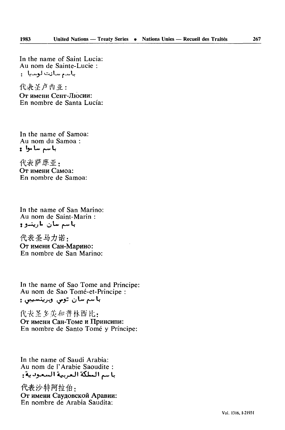1983

In the name of Saint Lucia: Au nom de Sainte-Lucie : باسم سائت لوسيان

代表圣卢西亚: От имени Сент-Люсии: En nombre de Santa Lucía:

In the name of Samoa: Au nom du Samoa: با سم سا موالع

代表萨摩亚: От имени Самоа: En nombre de Samoa:

In the name of San Marino: Au nom de Saint-Marin: باسم سان مارينسو و

代表圣马力诺: От имени Сан-Марино: En nombre de San Marino:

In the name of Sao Tome and Principe: Au nom de Sao Tomé-et-Principe : باسم سان توسی ویرینسیبی :

代表圣多美和普林西比: От имени Сан-Томе и Принсипи: En nombre de Santo Tomé y Príncipe:

In the name of Saudi Arabia: Au nom de l'Arabie Saoudite : باسم المطكة العربية السعودية:

代表沙特阿拉伯: От имени Саудовской Аравии: En nombre de Arabia Saudita: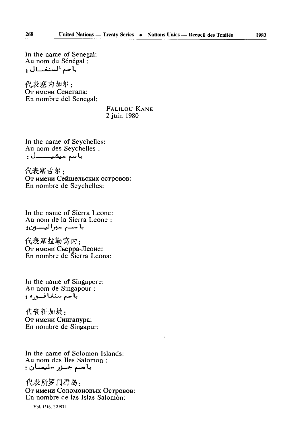In the name of Senegal: Au nom du Sénégal : باسم السنغسال و

代表塞内加尔: От имени Сенегала: En nombre del Senegal:

#### **FALILOU KANE** 2 juin 1980

In the name of Seychelles: Au nom des Seychelles : 

代表寒舌尔: От имени Сейшельских островов: En nombre de Seychelles:

In the name of Sierra Leone: Au nom de la Sierra Leone : باسم سبراليسون:

代表塞拉勒窝内: От имени Сьерра-Леоне: En nombre de Sierra Leona:

In the name of Singapore: Au nom de Singapour : باسم سنغافسوره و

代表新加坡: От имени Сингапура: En nombre de Singapur:

In the name of Solomon Islands: Au nom des Iles Salomon: باسم جىزر سليمىان :

代表所罗门群岛: От имени Соломоновых Островов: En nombre de las Islas Salomón:

Vol. 1316 1-21931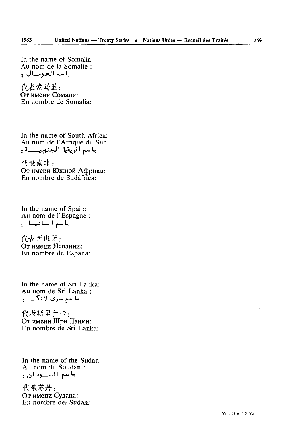In the name of Somalia: Au nom de la Somalie : باسم الصومسال و

代表索马里: От имени Сомали: En nombre de Somalia:

In the name of South Africa: Au nom de l'Afrique du Sud باسم افريقيا الجنوبيـــة <u>و</u>

代表南非: От имени Южной Африки: En nombre de Sudâfrica:

In the name of Spain: Au nom de l'Espagne : باسم اسبانیا :

代表西班牙: От имени Испании: En nombre de España:

In the name of Sri Lanka: Au nom de Sri Lanka : با سم سری لائکسا .

代表斯里兰卡: OT HM6HIJ **fflpH** JlaHKH: En nombre de Sri Lanka:

In the name of the Sudan: Au nom du Soudan : باسم الســودان :

代表苏丹: От имени Судана: En nombre del Sudan: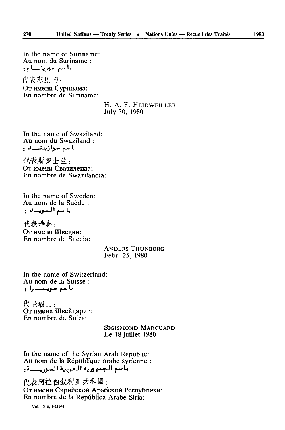In the name of Suriname: Au nom du Suriname : با سم سورينــــام؛

代表苏里南: От имени Суринама: En nombre de Suriname:

#### H. A. F. HEIDWEILLER July 30, 1980

In the name of Swaziland: Au nom du Swaziland : يا سم سوا زيلنســد ۽

代表斯威士兰: От имени Свазиленда: En nombre de Swazilandia<sup>.</sup>

In the name of Sweden: Au nom de la Suède : باسم السويدن :

代表瑞典: От имени Швеции: En nombre de Suecia:

#### **ANDERS THUNBORG** Febr. 25, 1980

In the name of Switzerland: Au nom de la Suisse : با سم سویستسرا ؛

代表瑞士: От имени Швейцарии: En nombre de Suiza:

> SIGISMOND MARCUARD Le 18 juillet 1980

In the name of the Syrian Arab Republic: Au nom de la République arabe syrienne : بأسم الجمهورية العربية السوريسية.

代表阿拉伯叙利亚共和国: От имени Сирийской Арабской Республики: En nombre de la República Arabe Siria:

Vol. 1316, 1-21931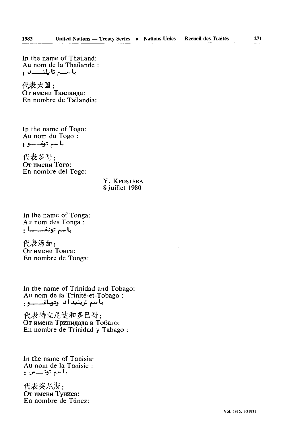In the name of Thailand: Au nom de la Thaïlande : با سے تا پلنسسد و

代表大国: От имени Таиланла: En nombre de Tailandia:

In the name of Togo: Au nom du Togo :

代表多哥: OT HM6HH Toro: En nombre del Togo:

### Y. KPOSTSRA 8 juillet 1980

In the name of Tonga: Au nom des Tonga : <mark>با</mark>سم تونغـــــــا :

代表汤加: От имени Тонга: En nombre de Tonga:

In the name of Trinidad and Tobago: Au nom de la Trinité-et-Tobago : باسم ترينيداد وتوباغــــو.

代表特立尼达和多巴哥: От имени Тринидада и Тобаго: En nombre de Trinidad y Tabago :

In the name of Tunisia: Au nom de la Tunisie :

代表突尼斯: От имени Туниса: En nombre de Tûnez: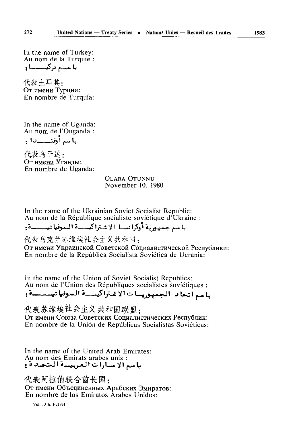In the name of Turkey: Au nom de la Turquie : با سہ ترکیے۔او

代表土耳其: От имени Турции: En nombre de Turquía:

In the name of Uganda: Au nom de l'Ouganda : باسم أوغنيسيدا و

代表 鸟干达 · От имени Уганлы: En nombre de Uganda:

> **OLARA OTUNNU** November 10, 1980

In the name of the Ukrainian Soviet Socialist Republic: Au nom de la République socialiste soviétique d'Ukraine :

باسم جمهورية أوكرانيها الاشتراكيسية السوفياتيسيسة:

代表乌克兰苏维埃社会主义共和国,

От имени Украинской Советской Социалистической Республики: En nombre de la República Socialista Soviética de Ucrania:

In the name of the Union of Soviet Socialist Republics: Au nom de l'Union des Républiques socialistes soviétiques : باسم أتحاد الجمهوريسات الاشتراكيسة السوفياتيستة:

代表苏维埃社会主义共和国联盟: От имени Союза Советских Социалистических Республик: En nombre de la Unión de Repúblicas Socialistas Soviéticas:

In the name of the United Arab Emirates: Au nom des Emirats arabes unis :<br>با سم الا مسارات الـعربيــــة الـمتـعــد ة و

代表阿拉伯联合酋长国: От имени Объединенных Арабских Эмиратов: En nombre de los Emiratos Arabes Unidos:

Vol. 1316, 1-21931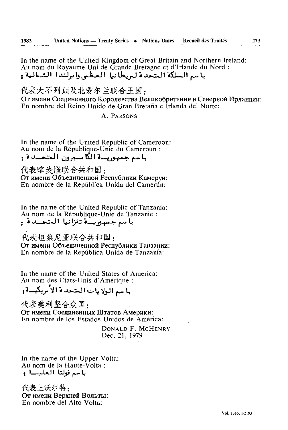In the name of the United Kingdom of Great Britain and Northern Ireland: Au nom du Royaume-Uni de Grande-Bretagne et d'Irlande du Nord : باسر السلكة المتحدة ليربطانيا العظمى وابرلَّندا الشالية و

代表大不列颠及北爱尔兰联合王国,

От имени Соединенного Королевства Великобритании и Северной Ирландии: En nombre del Reino Unido de Gran Bretaña e Irlanda del Norte:

A PARSONS

In the name of the United Republic of Cameroon: Au nom de la République-Unie du Cameroun : باسم جسوريسة الكاسيرون المتحسدة .

代表喀麦隆联合共和国: От имени Объединенной Республики Камерун: En nombre de la República Unida del Camerún:

In the name of the United Republic of Tanzania:<br>Au nom de la République-Unie de Tanzanie : باسم جمهوريسة تنزأنيا المتحسدة.

代表担桑尼亚联合共和国,

От имени Объединенной Республики Танзании: En nombre de la República Unida de Tanzanía:

In the name of the United States of America: Au nom des Etats-Unis d'Amérique :

# با سم الولايات المتحدة الأمريكيدة:

代表美利坚合众国: От имени Соединенных Штатов Америки: En nombre de los Estados Unidos de América:

> DONALD F. MCHENRY Dec. 21, 1979

In the name of the Upper Volta: Au nom de la Haute-Volta : باسم فولتا العليسا :

代表上沃尔特: От имени Верхней Вольты: En nombre del Alto Volta: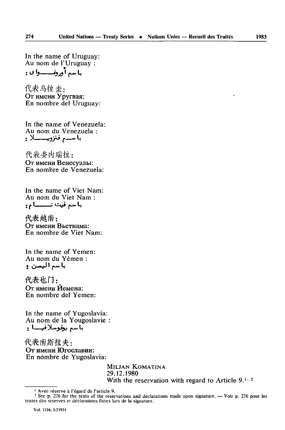In the name of Uruguay: Au nom de l'Uruguay : با سير أورونسيسيوا ي و

代表乌拉圭: От имени Уругвая: En nombre del Uruguay:

In the name of Venezuela: Au nom du Venezuela : **با سەم فنزويىـــــلا :** 

代表委内瑞拉: От имени Венесуэлы: En nombre de Venezuela:

In the name of Viet Nam: Au nom du Viet Nam :

代表越南: От имени Вьетнама: En nombre de Viet Nam:

In the name of Yemen: Au nom du Yemen :

代表也门: От имени Йемена: En nombre del Yemen:

In the name of Yugoslavia: Au nom de la Yougoslavie باسم ييفوسلافيسا :

代表南斯拉夫: От имени Югославии: En nombre de Yugoslavia:

> **MlLJAN KOMATINA** 29.12.1980 With the reservation with regard to Article  $9.11$ .

<sup>1</sup> Avec réserve à l'égard de l'article 9.

<sup>&</sup>lt;sup>2</sup> See p. 276 for the texts of the reservations and declarations made upon signature. — Voir p. 276 pour les textes des réserves et déclarations faites lors de la signature,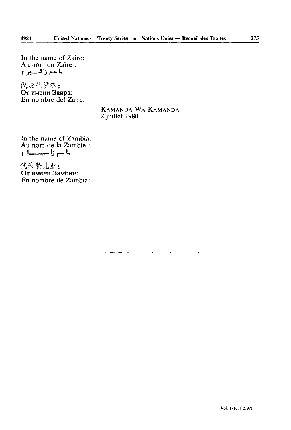In the name of Zaire: Au nom du Zaïre : باسم زائستیر و

1983

代表扎伊尔:<br>От имени Заира: En nombre del Zaire:

#### KAMANDA WA KAMANDA 2 juillet 1980

In the name of Zambia: Au nom de la Zambie : باسم زاميــــا و

代表赞比亚:<br>От имени Замбии: En nombre de Zambia: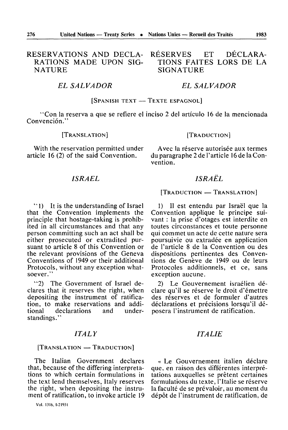# RESERVATIONS AND DECLA RATIONS MADE UPON SIG **NATURE**

#### *EL SALVADOR*

#### [SPANISH TEXT — *•* TEXTE ESPAGNOL]

"Con la reserva a que se refiere el inciso 2 del artículo 16 de la mencionada Convenciôn."

#### [TRANSLATION]

With the reservation permitted under article 16 (2) of the said Convention.

### [TRADUCTION]

RÉSERVES ET DÉCLARA-TIONS FAITES LORS DE LA

*EL SALVADOR* 

SIGNATURE

Avec la réserve autorisée aux termes du paragraphe 2 de l'article 16 de la Con vention.

### *ISRAËL*

" 1) It is the understanding of Israel that the Convention implements the principle that hostage-taking is prohib ited in all circumstances and that any person committing such an act shall be either prosecuted or extradited pur suant to article 8 of this Convention or the relevant provisions of the Geneva Conventions of 1949 or their additional Protocols, without any exception what soever."

"2) The Government of Israel de clares that it reserves the right, when depositing the instrument of ratifica tion, to make reservations and addi declarations standings."

#### *ITALY*

#### [TRANSLATION — TRADUCTION]

The Italian Government declares that, because of the differing interpreta tions to which certain formulations in the text lend themselves, Italy reserves the right, when depositing the instru ment of ratification, to invoke article 19

Vol. 1316, [-21931

# *ISRAËL*

[TRADUCTION — TRANSLATION]

1) II est entendu par Israël que la Convention applique le principe sui vant : la prise d'otages est interdite en toutes circonstances et toute personne qui commet un acte de cette nature sera poursuivie ou extradée en application de l'article 8 de la Convention ou des dispositions pertinentes des Conven tions de Genève de 1949 ou de leurs Protocoles additionnels, et ce, sans exception aucune.

2) Le Gouvernement israélien dé clare qu'il se réserve le droit d'émettre des réserves et de formuler d'autres déclarations et précisions lorsqu'il dé posera l'instrument de ratification.

### *ITALIE*

*«* Le Gouvernement italien déclare que, en raison des différentes interpré tations auxquelles se prêtent certaines formulations du texte, l'Italie se réserve la faculté de se prévaloir, au moment du dépôt de l'instrument de ratification, de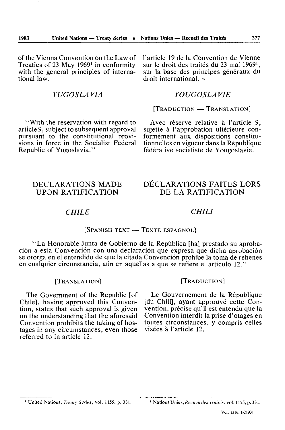of the Vienna Convention on the Law of Treaties of 23 May 1969' in conformity with the general principles of international law.

### *YUGOSLAVIA*

"With the reservation with regard to article 9, subject to subsequent approval pursuant to the constitutional provisions in force in the Socialist Federal Republic of Yugoslavia."

l'article 19 de la Convention de Vienne sur le droit des traités du 23 mai 1969<sup>1</sup>. sur la base des principes généraux du droit international. »

### *YOUGOSLAVIE*

[TRADUCTION — TRANSLATION]

Avec réserve relative à l'article 9, sujette à l'approbation ultérieure con formément aux dispositions constitu tionnelles en vigueur dans la République federative socialiste de Yougoslavie.

### DECLARATIONS MADE UPON RATIFICATION

# DÉCLARATIONS FAITES LORS DE LA RATIFICATION

### *CHILE CHILI*

#### [SPANISH TEXT — TEXTE ESPAGNOL]

"La Honorable Junta de Gobierno de la Repûblica [ha] prestado su aprobaciôn a esta Convenciôn con una declaraciôn que expresa que dicha aprobaciôn se otorga en el entendido de que la citada Convenciôn prohibe la toma de rehenes en cualquier circunstancia, aún en aquéllas a que se refiere el artículo 12."

#### [TRANSLATION]

The Government of the Republic [of Chile], having approved this Conven tion, states that such approval is given on the understanding that the aforesaid Convention prohibits the taking of hos tages in any circumstances, even those referred to in article 12.

#### [TRADUCTION]

Le Gouvernement de la République [du Chili], ayant approuvé cette Con vention, précise qu'il est entendu que la Convention interdit la prise d'otages en toutes circonstances, y compris celles visées à l'article 12.

1 United Nations, *Treaty Series,* vol. 1155, p. 331. ' Nations Unies, *Recueildes Traités, vo\.* 1155, p. 331.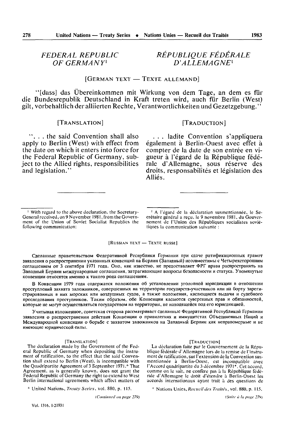# **FEDERAL REPUBLIC** OF GERMANY<sup>1</sup>

# RÉPUBLIOUE FÉDÉRALE  $D'ALLEMAGNE<sup>1</sup>$

# [GERMAN TEXT - TEXTE ALLEMAND]

"[dass] das Übereinkommen mit Wirkung von dem Tage, an dem es für die Bundesrepublik Deutschland in Kraft treten wird, auch für Berlin (West) gilt, vorbehaltlich der alliierten Rechte, Verantwortlichkeiten und Gezetzgebung."

#### [TRANSLATION]

"... the said Convention shall also apply to Berlin (West) with effect from the date on which it enters into force for the Federal Republic of Germany, subject to the Allied rights, responsibilities and legislation."

#### [TRADUCTION]

... ladite Convention s'appliquera également à Berlin-Ouest avec effet à compter de la date de son entrée en vigueur à l'égard de la République fédérale d'Allemagne, sous réserve des droits, responsabilités et législation des Alliés.

[RUSSIAN TEXT - TEXTE RUSSE]

Сделанные правительством Федеративной Республики Германии при сдаче ратификационных грамот заявления о распространении указанных конвенций на Берлин (Западный) несовместимы с Четырехсторонним соглашением от 3 сентября 1971 года. Оно, как известно, не предоставляет ФРГ права распространять на Западный Берлин международные соглашения, затрагивающие вопросы безопасности и статуса. Упомянутые конвенции относятся именно к такого рода соглашениям.

В Конвенции 1979 года содержатся положения об установлении уголовной юрисдикции в отношении преступлений захвата заложников, совершенных на территории государств-участников или на борту зарегистрированных в них морских или воздушных судов, а также положения, касающиеся выдачи и судебного преследования преступников. Таким образом, обе Конвенции касаются суверенных прав и обязанностей, которые не могут осуществляться государством на территории, не находящейся под его юрисдикцией.

Учитывая изложенное, советская сторона рассматривает сделанные Федеративной Республикой Германии заявления о распространении действия Конвенции о привилегнях и иммунитстах Объединенных Наций и Международной конвенции о борьбе с захватом заложников на Западный Берлин как неправомерные и не имеющие юридической силы.

#### [TRANSLATION]

The declaration made by the Government of the Federal Republic of Germany when depositing the instrument of ratification, to the effect that the said Convention shall extend to Berlin (West), is incompatible with the Quadripartite Agreement of 3 September 1971.\* That Agreement, as is generally known, does not grant the Federal Republic of Germany the right to extend to West Berlin international agreements which affect matters of

\* United Nations, Treaty Series, vol. 880, p. 115.

(Continued on page 279)

#### [TRADUCTION]

La déclaration faite par le Gouvernement de la République fédérale d'Allemagne lors de la remise de l'instrument de ratification, sur l'extension de la Convention susmentionnée à Berlin-Ouest, est incompatible avec l'Accord quadripartite du 3 décembre 1971\*. Cet accord, comme on le sait, ne confère pas à la République fédérale d'Allemagne le droit d'étendre à Berlin-Ouest les accords internationaux ayant trait à des questions de

\* Nations Unies, Recueil des Traités, vol. 880, p. 115.

(Suite à la page 279)

<sup>&</sup>lt;sup>1</sup> With regard to the above declaration, the Secretary-General received, on 9 November 1981, from the Government of the Union of Soviet Socialist Republics the following communication;

<sup>&</sup>lt;sup>1</sup> A l'égard de la déclaration susmentionnée, le Secrétaire général a reçu, le 9 novembre 1981, du Gouvernement de l'Union des Républiques socialistes soviétiques la communication suivante :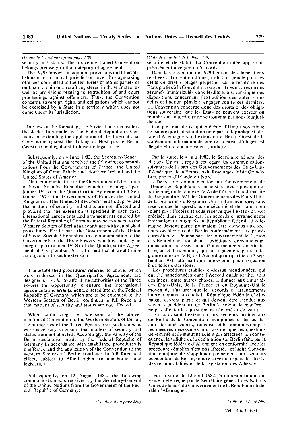#### *{Fi)otih>!c 1 ctniliiiiii'J fi'tnn page 278)*

security and status. The above-mentioned Convention belongs precisely to that category of agreement.

The 1979 Convention contains provisions on the estab lishment of criminal jurisdiction over hostage-taking offences committed in the territories of States parties or on board a ship or aircraft registered in those States, as well as provisions relating to extradition of and court proceedings against offenders. Thus, the Convention concerns sovereign rights and obligations which cannot be exercised by a State in a territory which does not come under its jurisdiction.

In view of the foregoing, the Soviet Union considers the declaration made by the Federal Republic of Ger many on extending the application of the International Convention against the Taking of Hostages to Berlin (West) to be illegal and to have no legal force.

Subsequently, on 4 June 1982, the Secretary-General of the United Nations received the following communi cations from the Governments of France, the United Kingdom of Great Britain and Northern Ireland and the United States of America:

"In a communication to the Government of the Union of Soviet Socialist Republics, which is an integral part (annex IV A) of the Quadripartite Agreement of 3 Sep tember 1971, the Governments of France, the United Kingdom and the United States confirmed that, provided that matters of security and status are not affected and provided that the extension is specified in each case, international agreements and arrangements entered by the Federal Republic of Germany may be extended to the Western Sectors of Berlin in accordance with established procedures. For its part, the Government of the Union of Soviet Socialist Republics, in a communication to the Governments of the Three Powers, which is similarly an integral part (annex IV B) of the Quadripartite Agree ment of 3 September 1971, affirmed that it would raise no objection to such extension.

The established procedures referred to above, which were endorsed in the Quadripartite Agreement, are designed *infer alia* to afford the authorities of the Three Powers the opportunity to ensure that international agreements and arrangements entered into by the Federal Republic of Germany which are to be extended to the Western Sectors of Berlin continues in full force and that matters of security and status are not affected.

When authorizing the extension of the abovementioned Convention to the Western Sectors of Berlin, the authorities of the Three Powers took such steps as were necessary to ensure that matters of security and status were not affected. Accordingly, the validity of the Berlin declaration made by the Federal Republic of Germany in accordance with established procedures is unaffected and the application of the Convention to the western Sectors of Berlin continues in full force and effect, subject to Allied rights, responsibilities and legislation.

Subsequently, on 12 August I982, the following communication was received by the Secretary-General of the United Nations from the Government of the Fed eral Republic of Germany;

*(Snile* (/c *lu mtlc I* i/c *la paw 278)*

sécurité et de statut. La Convention citée appartient précisément à ce genre d'accords.

Dans la Convention de 1979 figurent des dispositions relatives à la création d'une juridiction pénale pour les délits de prise d'otages perpétrés sur le territoire des Etats parties à la Convention ou à bord des navires ou des aéronefs immatriculés dans lesdits Etats, ainsi que des dispositions concernant l'extradition des auteurs des délits et l'action pénale à engager contre ces derniers. La Convention concerne donc des droits et des obliga tions souverains, que les Etats ne peuvent exercer ou remplir sur un territoire ne se trouvant pas sous leur juri diction.

Compte tenu de ce qui précède, l'Union soviétique considère que la déclaration faite par la République fédé rale d'Allemagne sur l'extension à Berlin-Ouest de la Convention internationale contre la prise d'otages est illégale et n'a aucune valeur juridique.

Par la suite, le 4 juin 1982, le Secrétaire général des Nations Unies a reçu à cet égard les communications suivantes de la part des Gouvernements des Etats-Unis d'Amérique, de la France et du Royaume-Uni de Grande-Bretagne et d'Irlande du Nord :

Dans une communication au Gouvernement de l'Union des Républiques socialistes soviétiques qui fait partie intégrante (annexe IV A) de l'Accord quadripartite du 3 septembre 1971, les Gouvernements des Etats-Unis, de la France et du Royaume-Uni confirmaient que, sous réserve que les questions de sécurité et de statut n'en soient pas affectées et sous réserve que l'extension soit précisée dans chaque cas, les accords et arrangements internationaux auxquels la République fédérale d'Alle magne devient partie pourraient être étendus aux sec teurs occidentaux de Berlin conformément aux procé dures établies. Pour sa part, le Gouvernement de l'Union des Républiques socialistes soviétiques, dans une communication adressée aux Gouvernements américain, français et britannique, qui fait également partie inté grante (annexe IV B) de l'Accord quadripartite du 3 sep tembre 1971, affirmait qu'il n'élèverait pas d'objection à de telles extensions.

Les procédures établies ci-dessus mentionnées, qui ont été sanctionnées dans l'Accord quadripartite, sont destinées, entre autres choses, à donner aux autorités des Etats-Unis, de la France et du Royaume-Uni le moyen de s'assurer que les accords et arrangements internationaux auxquels la République fédérale d'Alle magne devient partie et qui doivent être étendus aux secteurs occidentaux de Berlin le soient de manière à ne pas affecter les questions de sécurité et de statut.

En autorisant l'extension aux secteurs occidentaux de Berlin de la Convention mentionnée ci-dessus, les autorités américaines, françaises et britanniques ont pris les mesures nécessaires pour assurer que les questions de sécurité et de statut ne soient pas affectées. En consé quence, la validité de la déclaration sur Berlin faite par la République fédérale d'Allemagne en conformité avec les procédures établies n'est pas affectée, et ladite Conven tion continue de s'appliquer pleinement aux secteurs occidentaux de Berlin, sous réserve du respect des droits, des responsabilités et de la législation des Alliés. »

Par la suite, le 12 août 1982, la communication sui vante a été reçue par le Secrétaire général des Nations Unies de la part du Gouvernement de la République fédé rale d'Allemagne :